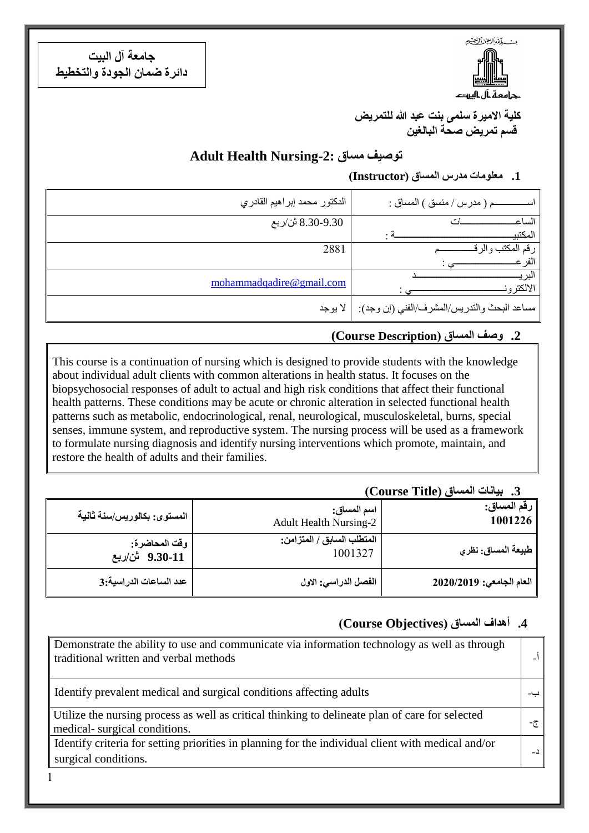يست كمشرالوع الركضي

حامعة أل اليهد

**جامعة آل البيت دائرة ضمان الجودة والتخطيط**

> **كلية االميرة سلمى بنت عبد هللا للتمريض قسم تمريض صحة البالغين**

## **Adult Health Nursing-2: مساق توصيف**

#### **.1 معلومات مدرس المساق )Instructor)**

| الدكتور محمد إبراهيم القادري | ـم ( مدر س / منسق ) المساق :                          |
|------------------------------|-------------------------------------------------------|
| 8.30-9.30 تْن/ربع            | الساع                                                 |
|                              | المكتبي                                               |
| 2881                         | ر قم `                                                |
|                              |                                                       |
| mohammadqadire@gmail.com     |                                                       |
|                              | الالكتر و                                             |
|                              | مساعد البحث والتدريس/المشرف/الفني (إن وجد):   لا يوجد |

#### **.2 وصف المساق )Description Course(**

This course is a continuation of nursing which is designed to provide students with the knowledge about individual adult clients with common alterations in health status. It focuses on the biopsychosocial responses of adult to actual and high risk conditions that affect their functional health patterns. These conditions may be acute or chronic alteration in selected functional health patterns such as metabolic, endocrinological, renal, neurological, musculoskeletal, burns, special senses, immune system, and reproductive system. The nursing process will be used as a framework to formulate nursing diagnosis and identify nursing interventions which promote, maintain, and restore the health of adults and their families.

## **.3 بيانات المساق )Title Course)**

| رقم المساق:<br>1001226   | اسم المساق:<br><b>Adult Health Nursing-2</b> | المستوى: بكالوريس/سنـة ثـانيـة  |
|--------------------------|----------------------------------------------|---------------------------------|
| . طبيعة المساق: نظري     | المتطلب السابق / المتزامن:<br>1001327        | وقت المحاضرة:<br>9.30-11 ثن/ربع |
| العام الجامعي: 2020/2019 | الفصل الدراسي: الاول                         | عدد الساعات الدراسية:3          |

## **.4 أهداف المساق )ِObjectives Course)**

| Demonstrate the ability to use and communicate via information technology as well as through<br>traditional written and verbal methods |     |
|----------------------------------------------------------------------------------------------------------------------------------------|-----|
| Identify prevalent medical and surgical conditions affecting adults                                                                    |     |
| Utilize the nursing process as well as critical thinking to delineate plan of care for selected<br>medical-surgical conditions.        | -ج− |
| Identify criteria for setting priorities in planning for the individual client with medical and/or<br>surgical conditions.             |     |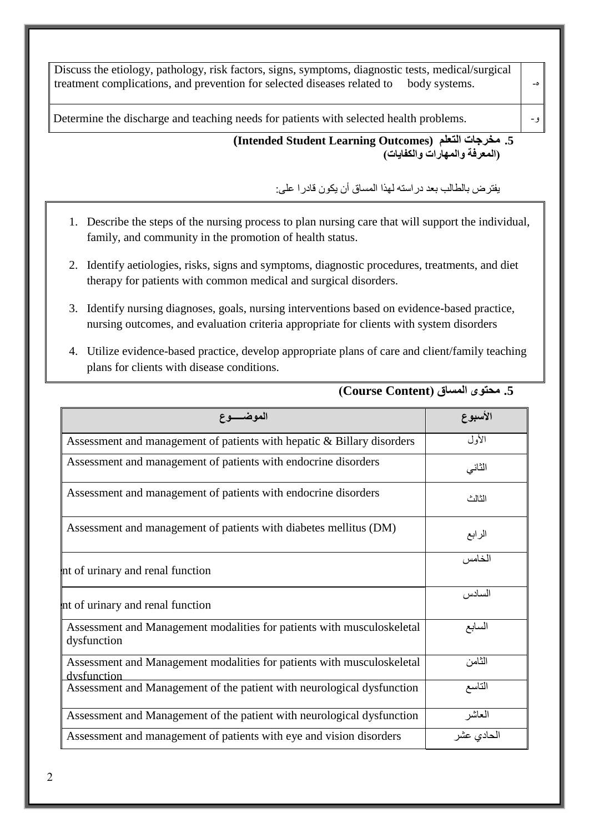| الموضيع ع                                                                                                                                                                                   | الأسبوع                          |           |
|---------------------------------------------------------------------------------------------------------------------------------------------------------------------------------------------|----------------------------------|-----------|
|                                                                                                                                                                                             | 5. محتوى المساق (Course Content) |           |
| Utilize evidence-based practice, develop appropriate plans of care and client/family teaching<br>4.<br>plans for clients with disease conditions.                                           |                                  |           |
| Identify nursing diagnoses, goals, nursing interventions based on evidence-based practice,<br>3.<br>nursing outcomes, and evaluation criteria appropriate for clients with system disorders |                                  |           |
| Identify actiologies, risks, signs and symptoms, diagnostic procedures, treatments, and diet<br>2.<br>therapy for patients with common medical and surgical disorders.                      |                                  |           |
| 1. Describe the steps of the nursing process to plan nursing care that will support the individual,<br>family, and community in the promotion of health status.                             |                                  |           |
| يفتر ض بالطالب بعد در استه لهذا المساق أن يكون قادر ا علي:                                                                                                                                  |                                  |           |
| 5. مخرجات التعلم (Intended Student Learning Outcomes)                                                                                                                                       | (المعرفة والمهارات والكفايات)    |           |
| Determine the discharge and teaching needs for patients with selected health problems.                                                                                                      |                                  | و –       |
| Discuss the etiology, pathology, risk factors, signs, symptoms, diagnostic tests, medical/surgical<br>treatment complications, and prevention for selected diseases related to              | body systems.                    | $-\delta$ |
|                                                                                                                                                                                             |                                  |           |

| الموضـــــوع                                                                          | الأسبوع    |
|---------------------------------------------------------------------------------------|------------|
| Assessment and management of patients with hepatic & Billary disorders                | الأول      |
| Assessment and management of patients with endocrine disorders                        | الثاني     |
| Assessment and management of patients with endocrine disorders                        | الثالث     |
| Assessment and management of patients with diabetes mellitus (DM)                     | الرابع     |
| nt of urinary and renal function                                                      | الخامس     |
| nt of urinary and renal function                                                      | السادس     |
| Assessment and Management modalities for patients with musculoskeletal<br>dysfunction | السابع     |
| Assessment and Management modalities for patients with musculoskeletal<br>dysfunction | الثامن     |
| Assessment and Management of the patient with neurological dysfunction                | التاسع     |
| Assessment and Management of the patient with neurological dysfunction                | العاشر     |
| Assessment and management of patients with eye and vision disorders                   | الحادى عشر |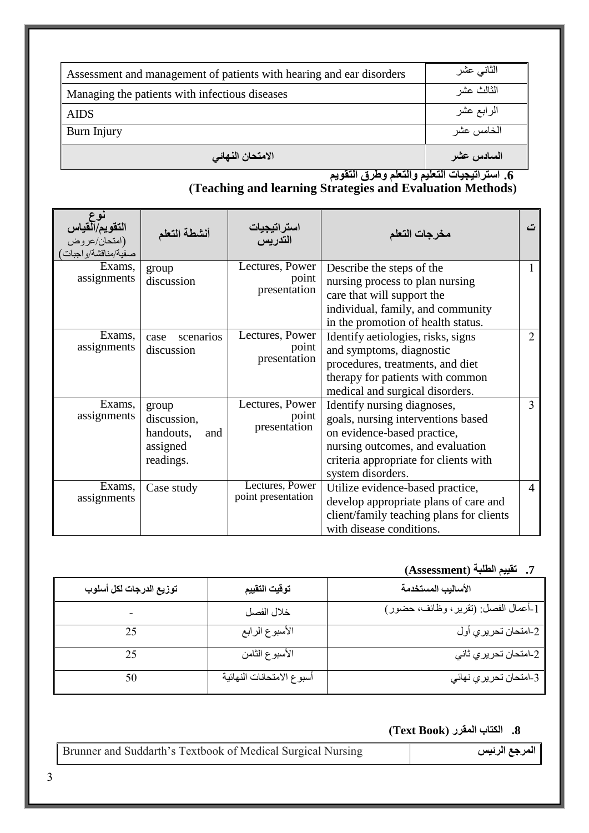| Assessment and management of patients with hearing and ear disorders | الثانى عشر |
|----------------------------------------------------------------------|------------|
| Managing the patients with infectious diseases                       | الثالث عشر |
| <b>AIDS</b>                                                          | الرابع عشر |
| Burn Injury                                                          | الخامس عشر |
| الامتحان النهائى                                                     | السادس عشر |

**.6 استراتيجيات التعليم والتعلم وطرق التقويم**

#### **)Teaching and learning Strategies and Evaluation Methods(**

| ا <b>لتقويم/التياس</b><br>(امتحان/عروض<br>صفية/مناقشة/واجبات | أنشطة التعلم                                                      | استرات <b>يجيات</b><br>التدريس           | مخرجات التعلم                                                                                                                                                                                      | ٽ              |
|--------------------------------------------------------------|-------------------------------------------------------------------|------------------------------------------|----------------------------------------------------------------------------------------------------------------------------------------------------------------------------------------------------|----------------|
| Exams,<br>assignments                                        | group<br>discussion                                               | Lectures, Power<br>point<br>presentation | Describe the steps of the<br>nursing process to plan nursing<br>care that will support the<br>individual, family, and community<br>in the promotion of health status.                              | 1              |
| Exams,<br>assignments                                        | scenarios<br>case<br>discussion                                   | Lectures, Power<br>point<br>presentation | Identify aetiologies, risks, signs<br>and symptoms, diagnostic<br>procedures, treatments, and diet<br>therapy for patients with common<br>medical and surgical disorders.                          | $\overline{2}$ |
| Exams,<br>assignments                                        | group<br>discussion,<br>handouts,<br>and<br>assigned<br>readings. | Lectures, Power<br>point<br>presentation | Identify nursing diagnoses,<br>goals, nursing interventions based<br>on evidence-based practice,<br>nursing outcomes, and evaluation<br>criteria appropriate for clients with<br>system disorders. | $\overline{3}$ |
| Exams,<br>assignments                                        | Case study                                                        | Lectures, Power<br>point presentation    | Utilize evidence-based practice,<br>develop appropriate plans of care and<br>client/family teaching plans for clients<br>with disease conditions.                                                  | $\overline{4}$ |

# **.7 تقييم الطلبة )Assessment)**

| توزيع الدرجات لكل أسلوب | توقيت التقييم             | الأساليب المستخدمة                          |
|-------------------------|---------------------------|---------------------------------------------|
|                         | خلال الفصل                | [-أعمال الفصل: (تقرير ، وظائف، حضور)        |
| 25                      | الأسبوع الرابع            | امتحان تحريري أول $\overline{-2}$           |
| 25                      | الأسبوع الثامن            |                                             |
|                         | أسبوع الامتحانات النهائية | ۔<br>3-امتحا <i>ن تحریر ي</i> نھائ <i>ي</i> |

### **.8 الكتاب المقرر )Book Text)**

| Brunner and Suddarth's Textbook of Medical Surgical Nursing | المرجع الرئيس |
|-------------------------------------------------------------|---------------|
|                                                             |               |